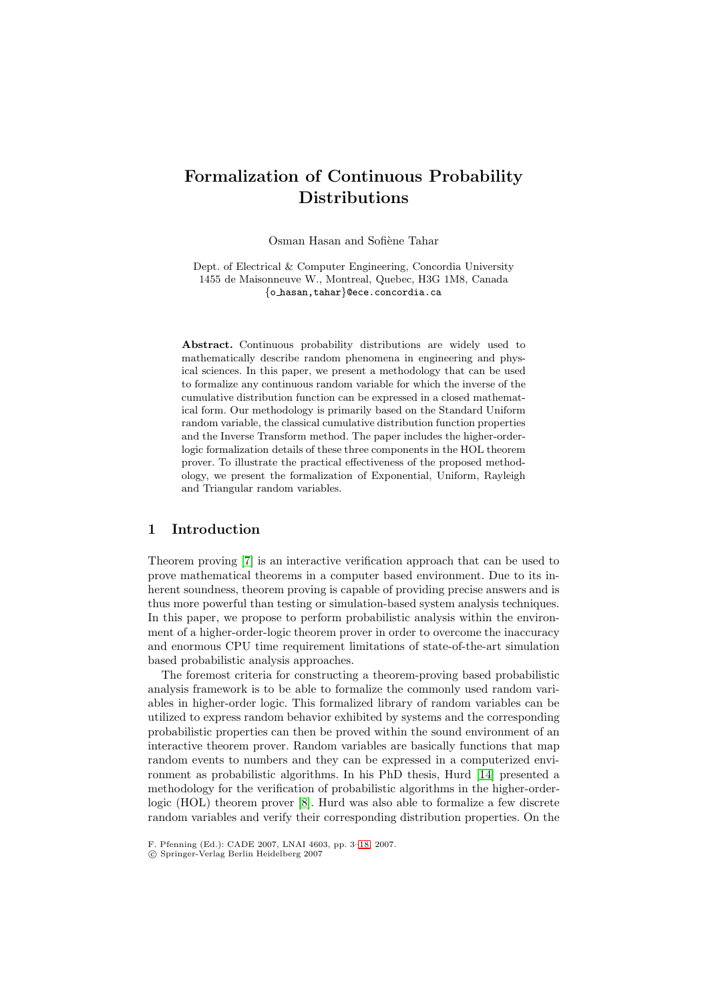# **Formalization of Continuous Probability Distributions**

Osman Hasan and Sofiène Tahar

Dept. of Electrical & Computer Engineering, Concordia University 1455 de Maisonneuve W., Montreal, Quebec, H3G 1M8, Canada {o hasan,tahar}@ece.concordia.ca

**Abstract.** Continuous probability distributions are widely used to mathematically describe random phenomena in engineering and physical sciences. In this paper, we present a methodology that can be used to formalize any continuous random variable for which the inverse of the cumulative distribution function can be expressed in a closed mathematical form. Our methodology is primarily based on the Standard Uniform random variable, the classical cumulative distribution function properties and the Inverse Transform method. The paper includes the higher-orderlogic formalization details of these three components in the HOL theorem prover. To illustrate the practical effectiveness of the proposed methodology, we present the formalization of Exponential, Uniform, Rayleigh and Triangular random variables.

# **1 Introduction**

Theorem proving [7] is an interactive verification approach that can be used to prove mathematical theorems in a computer based environment. Due to its inherent soundness, theorem proving is capable of providing precise answers and is thus more powerful than testing or simulation-based system analysis techniques. In this paper, we [pr](#page-15-0)opose to perform probabilistic analysis within the environment of a higher-order-logic theorem prover in order to overcome the inaccuracy and enormous CPU time requirement limitations of state-of-the-art simulation based probabilistic analysis approaches.

The foremost criteria for constructing a theorem-proving based probabilistic analysis framework is to be able to formalize the commonly used random variables in higher-order logic. This formalized library of random variables can be utilized to express random behavior exhibited by systems and the corresponding probabilistic properties can then be proved within the sound environment of an interactive theorem prover. Random variables are basically functions that map random events to numbers and they can be expressed in a computerized environment as probabilistic algorithms. In his PhD thesis, Hurd [14] presented a methodology for the verification of probabilistic algorithms in the higher-orderlogic (HOL) theorem prover [8]. Hurd was also able to formalize a few discrete random variables and verify their corresponding distribution properties. On the

F. Pfenning (Ed.): CADE 2007, LNAI 4603, pp. 3–18, 2007.

<sup>-</sup>c Springer-Verlag Berlin Heidelber[g](#page-15-1) [2](#page-15-1)007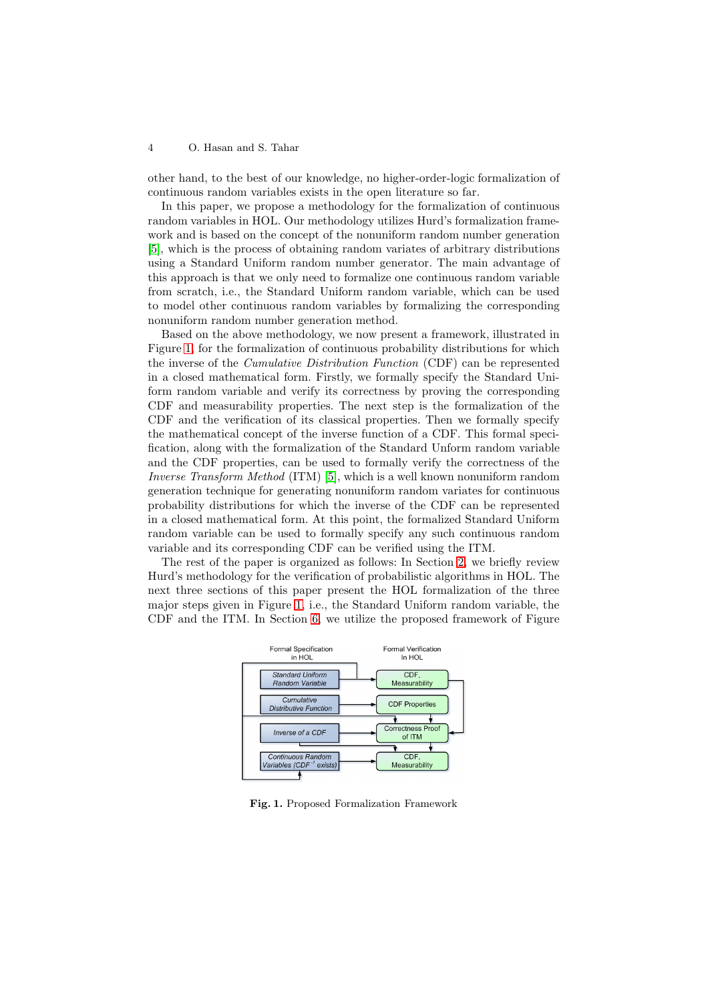other hand, to the best of our knowledge, no higher-order-logic formalization of continuous random variables exists in the open literature so far.

In this paper, we propose a methodology for the formalization of continuous random variables in HOL. Our methodology utilizes Hurd's formalization framework and is based on the concept of the nonuniform random number generation [5], which is the process of obtaining random variates of arbitrary distributions using a Standard Uniform random number generator. The main advantage of this approach is that we only need to formalize one continuous random variable from scratch, i.e., the Standard Uniform random variable, which can be used [to](#page-15-2) model other continuous random variables by formalizing the corresponding nonuniform random number generation method.

Based on the above methodology, we now present a framework, illustrated in Figure 1, for the formalization of continuous probability distributions for which the inverse of the *Cumulative Distribution Function* (CDF) can be represented in a closed mathematical form. Firstly, we formally specify the Standard Uniform random variable and verify its correctness by proving the corresponding CDF [and](#page-1-0) measurability properties. The next step is the formalization of the CDF and the verification of its classical properties. Then we formally specify the mathematical concept of the inverse function of a CDF. This formal specification, along with the formalization of the Standard Unform random variable and the CDF properties, can be used to formally verify the correctness of the Inverse Transform Method (ITM) [5], which is a well known nonuniform random generation technique for generating nonuniform random variates for continuous probability distributions for which the inverse of the CDF can be represented in a closed mathematical form. At this point, the formalized Standard Uniform random variable can be used to f[orm](#page-15-2)ally specify any such continuous random variable and its corresponding CDF can be verified using the ITM.

The rest of the paper is organized as follows: In Section 2, we briefly review Hurd's methodology for the verification of probabilistic algorithms in HOL. The next three sections of this paper present the HOL formalization of the three major steps given in Figure 1, i.e., the Standard Uniform random variable, the CDF and the ITM. In Section 6, we utilize the proposed f[ra](#page-2-0)mework of Figure



<span id="page-1-0"></span>**Fig. 1.** Proposed Formalization Framework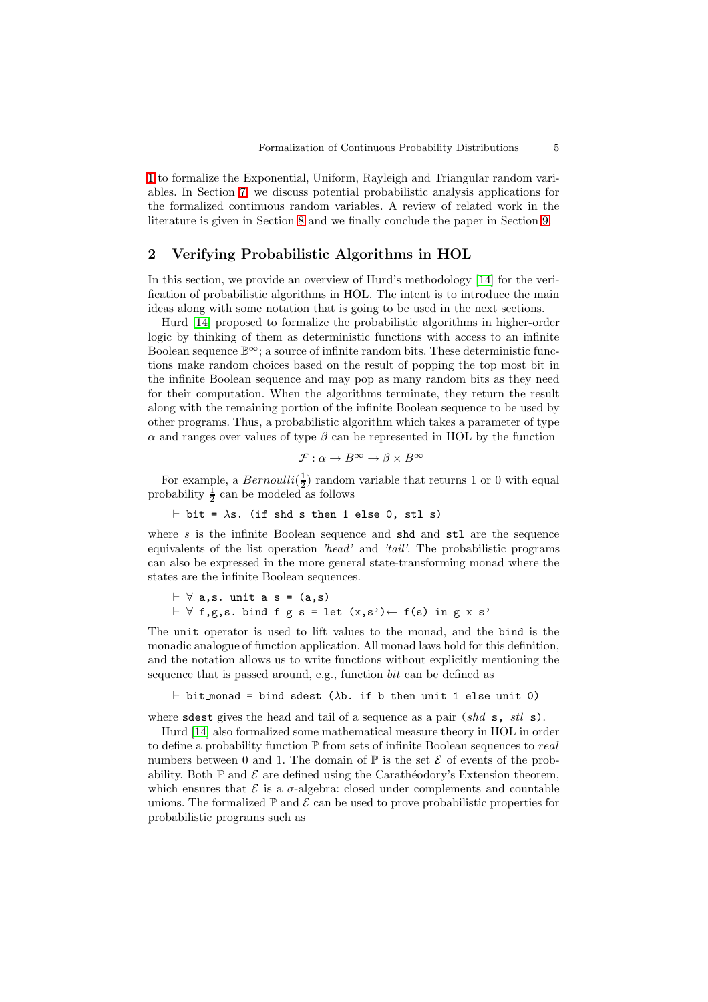1 to formalize the Exponential, Uniform, Rayleigh and Triangular random variables. In Section 7, we discuss potential probabilistic analysis applications for the formalized continuous random variables. A review of related work in the literature is given in Section 8 and we finally conclude the paper in Section 9.

### **2 Verifying [P](#page-12-0)robabilistic Algorithms in HOL**

<span id="page-2-0"></span>In this section, we provide a[n o](#page-13-0)verview of Hurd's methodology [14] for the [ver](#page-14-0)ification of probabilistic algorithms in HOL. The intent is to introduce the main ideas along with some notation that is going to be used in the next sections.

Hurd [14] proposed to formalize the probabilistic algorithms in higher-order logic by thinking of them as deterministic functions with acce[ss t](#page-15-3)o an infinite Boolean sequence  $\mathbb{B}^{\infty}$ ; a source of infinite random bits. These deterministic functions make random choices based on the result of popping the top most bit in the infin[ite](#page-15-3) Boolean sequence and may pop as many random bits as they need for their computation. When the algorithms terminate, they return the result along with the remaining portion of the infinite Boolean sequence to be used by other programs. Thus, a probabilistic algorithm which takes a parameter of type  $\alpha$  and ranges over values of type  $\beta$  can be represented in HOL by the function

$$
\mathcal{F}: \alpha \to B^{\infty} \to \beta \times B^{\infty}
$$

For example, a  $Bernoulli(\frac{1}{2})$  random variable that returns 1 or 0 with equal probability  $\frac{1}{2}$  can be modeled as follows

```
\vdash bit = \lambdas. (if shd s then 1 else 0, stl s)
```
where  $s$  is the infinite Boolean sequence and  $shd$  and  $st1$  are the sequence equivalents of the list operation 'head' and 'tail'. The probabilistic programs can also be expressed in the more general state-transforming monad where the states are the infinite Boolean sequences.

```
\vdash \forall a,s. unit a s = (a, s)\vdash \forall f,g,s. bind f g s = let (x,s') \leftarrow f(s) in g x s'
```
The unit operator is used to lift values to the monad, and the bind is the monadic analogue of function application. All monad laws hold for this definition, and the notation allows us to write functions without explicitly mentioning the sequence that is passed around, e.g., function bit can be defined as

 $\vdash$  bit monad = bind sdest ( $\lambda$ b. if b then unit 1 else unit 0)

where sdest gives the head and tail of a sequence as a pair  $(shd s, stl s)$ .

Hurd [14] also formalized some mathematical measure theory in HOL in order to define a probability function  $\mathbb P$  from sets of infinite Boolean sequences to real numbers between 0 and 1. The domain of  $\mathbb P$  is the set  $\mathcal E$  of events of the probability. Both  $\mathbb P$  and  $\mathcal E$  are defined using the Carathéodory's Extension theorem, which e[nsur](#page-15-3)es that  $\mathcal E$  is a  $\sigma$ -algebra: closed under complements and countable unions. The formalized  $\mathbb P$  and  $\mathcal E$  can be used to prove probabilistic properties for probabilistic programs such as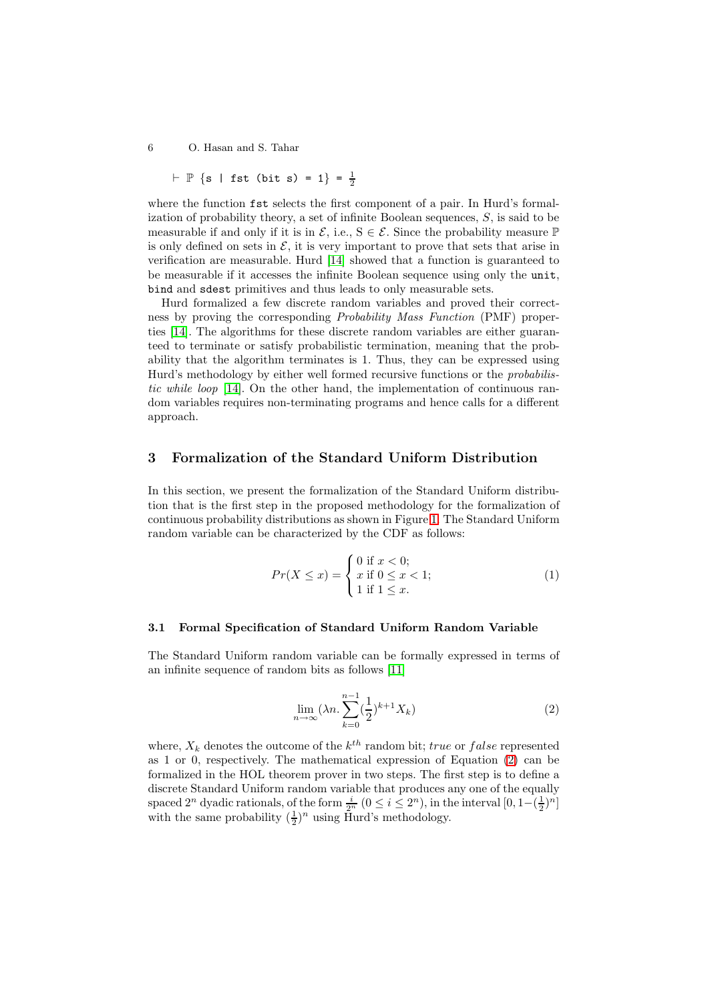$\vdash \mathbb{P} \{s \mid \text{fst (bit s)} = 1\} = \frac{1}{2}$ 

where the function fst selects the first component of a pair. In Hurd's formalization of probability theory, a set of infinite Boolean sequences,  $S$ , is said to be measurable if and only if it is in  $\mathcal{E}$ , i.e.,  $S \in \mathcal{E}$ . Since the probability measure  $\mathbb{P}$ is only defined on sets in  $\mathcal{E}$ , it is very important to prove that sets that arise in verification are measurable. Hurd [14] showed that a function is guaranteed to be measurable if it accesses the infinite Boolean sequence using only the unit, bind and sdest primitives and thus leads to only measurable sets.

Hurd formalized a few discrete random variables and proved their correctness by proving the corresponding [P](#page-15-3)robability Mass Function (PMF) properties [14]. The algorithms for these discrete random variables are either guaranteed to terminate or satisfy probabilistic termination, meaning that the probability that the algorithm terminates is 1. Thus, they can be expressed using Hurd's methodology by either well formed recursive functions or the *probabilis*tic [while](#page-15-3) loop [14]. On the other hand, the implementation of continuous random variables requires non-terminating programs and hence calls for a different approach.

# **3 Formal[iza](#page-15-3)tion of the Standard Uniform Distribution**

<span id="page-3-2"></span>In this section, we present the formalization of the Standard Uniform distribution that is the first step in the proposed methodology for the formalization of continuous probability distributions as shown in Figure 1. The Standard Uniform random variable can be characterized by the CDF as follows:

$$
Pr(X \le x) = \begin{cases} 0 \text{ if } x < 0; \\ x \text{ if } 0 \le x < 1; \\ 1 \text{ if } 1 \le x. \end{cases}
$$
 (1)

### <span id="page-3-1"></span>**3.1 Formal Specification of Standard Uniform Random Variable**

The Standard Uniform random variable can be formally expressed in terms of an infinite sequence of random bits as follows [11]

$$
\lim_{n \to \infty} (\lambda n. \sum_{k=0}^{n-1} \left(\frac{1}{2}\right)^{k+1} X_k)
$$
\n(2)

<span id="page-3-0"></span>where,  $X_k$  denotes the outcome of the  $k^{th}$  random bit; true or false represented as 1 or 0, respectively. The mathematical expression of Equation (2) can be formalized in the HOL theorem prover in two steps. The first step is to define a discrete Standard Uniform random variable that produces any one of the equally spaced  $2^n$  dyadic rationals, of the form  $\frac{i}{2^n}$   $(0 \le i \le 2^n)$ , in the interval  $[0, 1-(\frac{1}{2})^n]$ with the same probability  $(\frac{1}{2})^n$  using Hurd's methodology.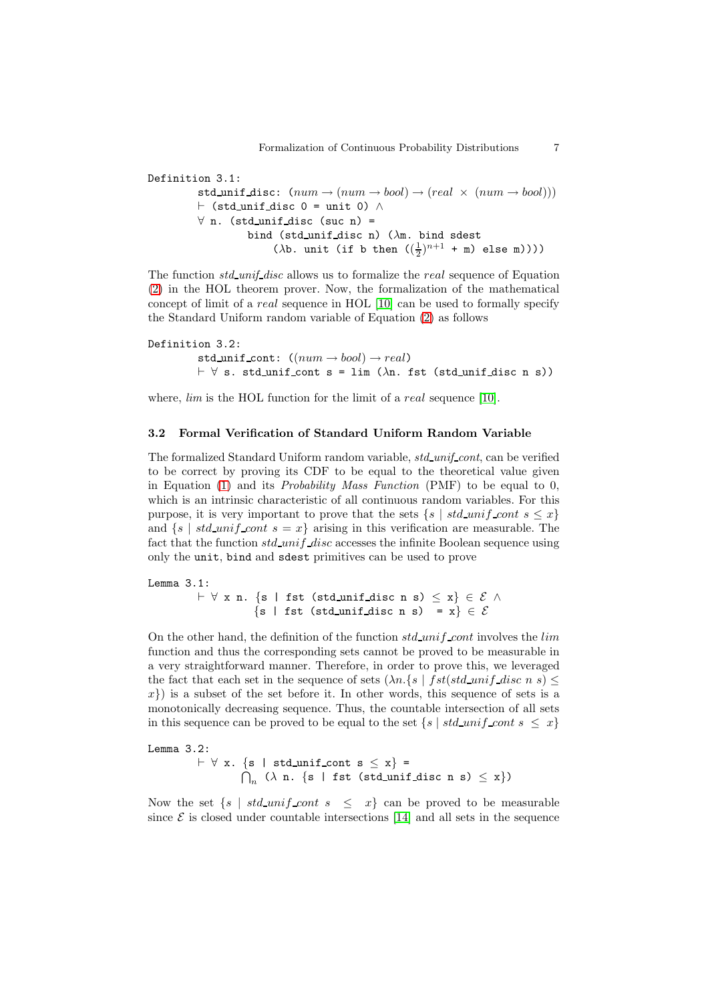Definition 3.1: std\_unif\_disc:  $(num \rightarrow (num \rightarrow bool) \rightarrow (real \times (num \rightarrow bool)))$  $\vdash$  (std\_unif\_disc 0 = unit 0)  $\land$  $\forall$  n. (std\_unif\_disc (suc n) = bind (std\_unif\_disc n)  $(\lambda m.$  bind sdest ( $\lambda$ b. unit (if b then  $(\frac{1}{2})^{n+1}$  + m) else m))))

The function std\_unif\_disc allows us to formalize the real sequence of Equation (2) in the HOL theorem prover. Now, the formalization of the mathematical concept of limit of a real sequence in HOL [10] can be used to formally specify the Standard Uniform random variable of Equation (2) as follows

```
Definition 3.2:
```

```
std_unif_cont: real)\vdash \foralltd_unif_cont s = lim (\lambdan. fst (std_unif_disc n s))
```
where,  $lim$  is the HOL function for the limit of a real sequence [10].

### **3.2 Formal Verification of Standard Uniform Random Variable**

The formalized Standard Uniform random variable, std\_unif\_cont[, ca](#page-15-4)n be verified to be correct by proving its CDF to be equal to the theoretical value given in Equation (1) and its *Probability Mass Function* (PMF) to be equal to 0, which is an intrinsic characteristic of all continuous random variables. For this purpose, it is very important to prove that the sets  $\{s \mid std\_uniform \ s \leq x\}$ and  $\{s \mid std\_unif\_cont \; s = x\}$  arising in this verification are measurable. The fact that the f[un](#page-3-1)ction  $std\_unif\_disc$  accesses the infinite Boolean sequence using only the unit, bind and sdest primitives can be used to prove

Lemma 3.1:

 $\vdash \forall$  x n. {s | fst (std\_unif\_disc n s)  $\leq$  x}  $\in$   $\mathcal{E}$   $\wedge$  $\{ {\tt s} \ \mid \ {\tt fst} \ {\tt (std\_unif\_disc \ n \ s)} \ = {\tt x} \} \ \in \ {\cal E}$ 

On the other hand, the definition of the function  $std\_unif\_cont$  involves the  $lim$ function and thus the corresponding sets cannot be proved to be measurable in a very straightforward manner. Therefore, in order to prove this, we leveraged the fact that each set in the sequence of sets  $(\lambda n.\{s \mid fst(std\_unif\_disc \ n \ s) \leq t \}$  $x$ ) is a subset of the set before it. In other words, this sequence of sets is a monotonically decreasing sequence. Thus, the countable intersection of all sets in this sequence can be proved to be equal to the set  $\{s \mid std\_unit\_cont s \leq x\}$ 

Lemma 3.2:  $\vdash$   $\forall$  x. {s | std\_unif\_cont s  $\leq$  x} =  $\bigcap_n$  ( $\lambda$  n. {s | fst (std\_unif\_disc n s)  $\leq$  x})

Now the set  $\{s \mid std\_unif\_cont \; s \leq x\}$  can be proved to be measurable since  $\mathcal E$  is closed under countable intersections [14] and all sets in the sequence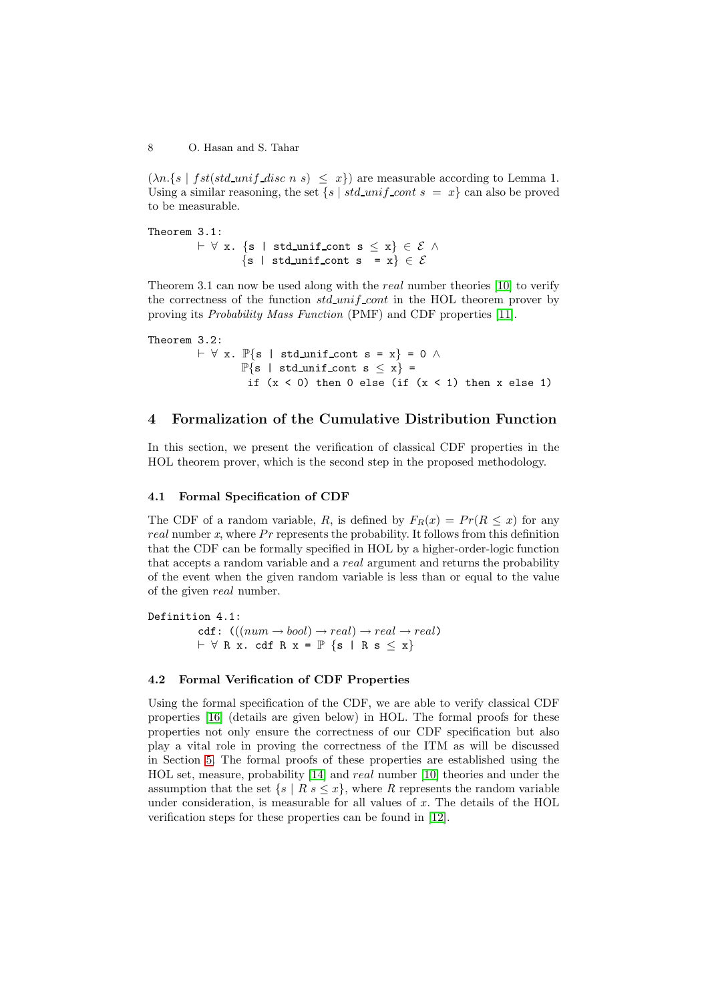$(\lambda n.\{s \mid \text{fst}(std\_unif\_disc \mid n \mid s) \leq x\})$  are measurable according to Lemma 1. Using a similar reasoning, the set  $\{s \mid std\_unit \text{cont } s = x\}$  can also be proved to be measurable.

Theorem 3.1:  $\vdash \forall$  x. {s | std\_unif\_cont s  $\leq$  x}  $\in$   $\mathcal{E}$   $\wedge$  $\{s \mid std\_unif\_cont s = x\} \in \mathcal{E}$ 

Theorem 3.1 can now be used along with the real number theories [10] to verify the correctness of the function std\_unif\_cont in the HOL theorem prover by proving its Probability Mass Function (PMF) and CDF properties [11].

Theorem 3.2:  $\vdash \forall$  x.  $\mathbb{P}\{s \mid std\_unif\_cont s = x\} = 0 \land$  $\mathbb{P}\{\text{s} \mid \text{std\_unif\_cont } \text{s} \leq x\}$  = if  $(x < 0)$  $(x < 0)$  $(x < 0)$  th[e](#page-15-5)n 0 else (if  $(x < 1)$  then x else 1)

# **4 Formalization of the Cumulative Distribution Function**

<span id="page-5-0"></span>In this section, we present the verification of classical CDF properties in the HOL theorem prover, which is the second step in the proposed methodology.

### **4.1 Formal Specification of CDF**

The CDF of a random variable, R, is defined by  $F_R(x) = Pr(R \leq x)$  for any real number x, where  $Pr$  represents the probability. It follows from this definition that the CDF can be formally specified in HOL by a higher-order-logic function that accepts a random variable and a *real* argument and returns the probability of the event when the given random variable is less than or equal to the value of the given real number.

Definition 4.1: cdf:  $(((num \rightarrow bool) \rightarrow real) \rightarrow real \rightarrow real)$  $\vdash \forall$  R x. cdf R x =  $\mathbb{P}$  {s | R s  $\leq$  x}

### **4.2 Formal Verification of CDF Properties**

Using the formal specification of the CDF, we are able to verify classical CDF properties [16] (details are given below) in HOL. The formal proofs for these properties not only ensure the correctness of our CDF specification but also play a vital role in proving the correctness of the ITM as will be discussed in Section 5. The formal proofs of these properties are established using the HOL set, [meas](#page-15-6)ure, probability [14] and real number [10] theories and under the assumption that the set  $\{s \mid R s \leq x\}$ , where R represents the random variable under consideration, is measurable for all values of  $x$ . The details of the HOL verificatio[n s](#page-7-0)teps for these properties can be found in [12].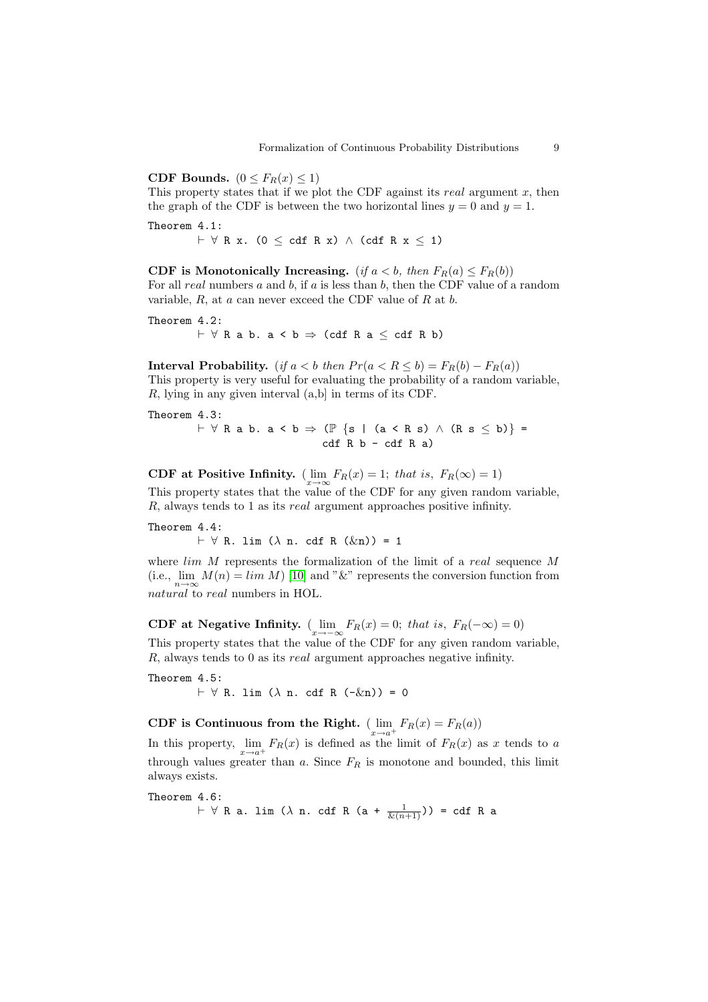**CDF Bounds.** ( $0 \leq F_R(x) \leq 1$ )

This property states that if we plot the CDF against its real argument  $x$ , then the graph of the CDF is between the two horizontal lines  $y = 0$  and  $y = 1$ .

Theorem 4.1:

 $\vdash \forall$  R x. (0  $\leq$  cdf R x)  $\land$  (cdf R x  $\leq$  1)

**CDF** is Monotonically Increasing. (if  $a < b$ , then  $F_R(a) \leq F_R(b)$ ) For all real numbers a and b, if a is less than b, then the CDF value of a random variable,  $R$ , at  $a$  can never exceed the CDF value of  $R$  at  $b$ .

Theorem 4.2:  $\vdash \forall$  R a b. a  $\leq$  b  $\Rightarrow$  (cdf R a  $\leq$  cdf R b)

**Interval Probability.** (if  $a < b$  then  $Pr(a < R \le b) = F_R(b) - F_R(a)$ ) This property is very useful for evaluating the probability of a random variable, R, lying in any given interval (a,b] in terms of its CDF.

Theorem 4.3:

 $\vdash \forall R$  a b. a < b  $\Rightarrow$  ( $\mathbb{P}$  {s | (a < R s)  $\land$  (R s  $\leq$  b)} =  $cdf R b - cdf R a)$ 

**CDF** at Positive Infinity.  $(\lim_{x \to \infty} F_R(x) = 1;$  that is,  $F_R(\infty) = 1)$ 

This property states that the value of the CDF for any given random variable, R, always tends to 1 as its real argument approaches positive infinity.

Theorem 4.4:

 $\vdash \forall$  R. lim ( $\lambda$  n. cdf R ( $\&$ n)) = 1

where  $\lim M$  represents the formalization of the limit of a real sequence M (i.e.,  $\lim M(n) = \lim M$ ) [10] and "&" represents the conversion function from natural to real numbers in HOL.

**CDF** at Negative Infinity.  $\lim_{x\to-\infty} F_R(x) = 0$ ; that is,  $F_R(-\infty) = 0$ )

This property states that t[he](#page-15-4) value of the CDF for any given random variable, R, always tends to 0 as its real argument approaches negative infinity.

Theorem 4.5:

 $\vdash \forall$  R. lim ( $\lambda$  n. cdf R (- $\&$ n)) = 0

**CDF** is Continuous from the Right. ( $\lim_{n \to \infty} F_R(x) = F_R(a)$ )  $\lim_{x \to a^+} F_R(x) = F_R(a)$ 

In this property,  $\lim_{x \to a^+} F_R(x)$  is defined as the limit of  $F_R(x)$  as x tends to a through values greater than  $a$ . Since  $F_R$  is monotone and bounded, this limit always exists.

Theorem 4.6:

```
\vdash \forall R a. lim (\lambda n. cdf R (a + \frac{1}{\&(n+1)})) = cdf R a
```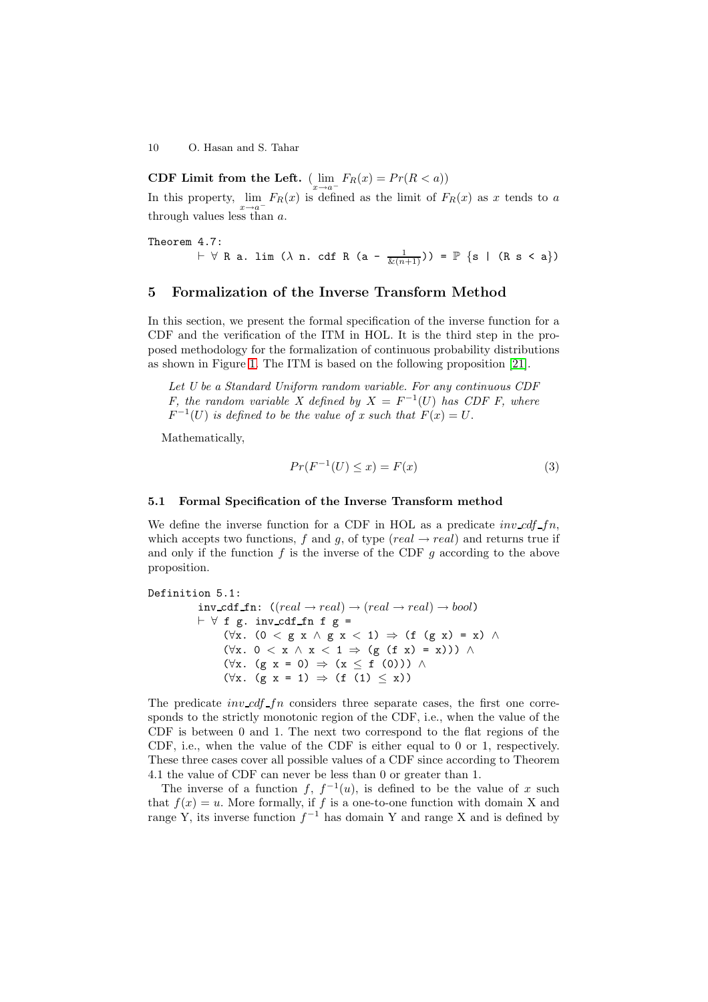**CDF Limit from the Left.** ( lim  $\lim_{x \to a^-} F_R(x) = Pr(R < a))$ 

In this property,  $\lim_{x \to a^{-}} F_R(x)$  is defined as the limit of  $F_R(x)$  as x tends to a through values less than  $a$ .

Theorem 4.7:  $\vdash \forall$  R a. lim ( $\lambda$  n. cdf R (a -  $\frac{1}{\&(n+1)})$ ) =  $\mathbb{P}$  {s | (R s < a})

## **5 Formalization of the Inverse Transform Method**

<span id="page-7-0"></span>In this section, we present the formal specification of the inverse function for a CDF and the verification of the ITM in HOL. It is the third step in the proposed methodology for the formalization of continuous probability distributions as shown in Figure 1. The ITM is based on the following proposition [21].

Let U be a Standard Uniform random variable. For any continuous CDF F, the random variable X defined by  $X = F^{-1}(U)$  has CDF F, where  $F^{-1}(U)$  is defi[ned](#page-1-0) to be the value of x such that  $F(x) = U$ .

Mathematically,

$$
Pr(F^{-1}(U) \le x) = F(x) \tag{3}
$$

#### **5.1 Formal Specification of the Inverse Transform method**

We define the inverse function for a CDF in HOL as a predicate inv  $cdf_fn$ , which accepts two functions, f and g, of type  $_{real} \rightarrow real$  and returns true if and only if the function f is the inverse of the CDF  $q$  according to the above proposition.

```
Definition 5.1:
```

```
inv_cdf_fn: ((real \rightarrow real) \rightarrow (real \rightarrow real) \rightarrow bool)\vdash \forall f g. inv_cdf_fn f g =
(\forall x. (0 < g x \land g x < 1) \Rightarrow (f (g x) = x) \land(\forall x. 0 < x \land x < 1 \Rightarrow (g (f x) = x))) ∧
(\forall x. (g x = 0) \Rightarrow (x \leq f (0))) \land(\forall x. (g \ x = 1) \Rightarrow (f (1) \leq x))
```
The predicate  $inv_cdf_f$  considers three separate cases, the first one corresponds to the strictly monotonic region of the CDF, i.e., when the value of the CDF is between 0 and 1. The next two correspond to the flat regions of the CDF, i.e., when the value of the CDF is either equal to 0 or 1, respectively. These three cases cover all possible values of a CDF since according to Theorem 4.1 the value of CDF can never be less than 0 or greater than 1.

The inverse of a function f,  $f^{-1}(u)$ , is defined to be the value of x such that  $f(x) = u$ . More formally, if f is a one-to-one function with domain X and range Y, its inverse function  $f^{-1}$  has domain Y and range X and is defined by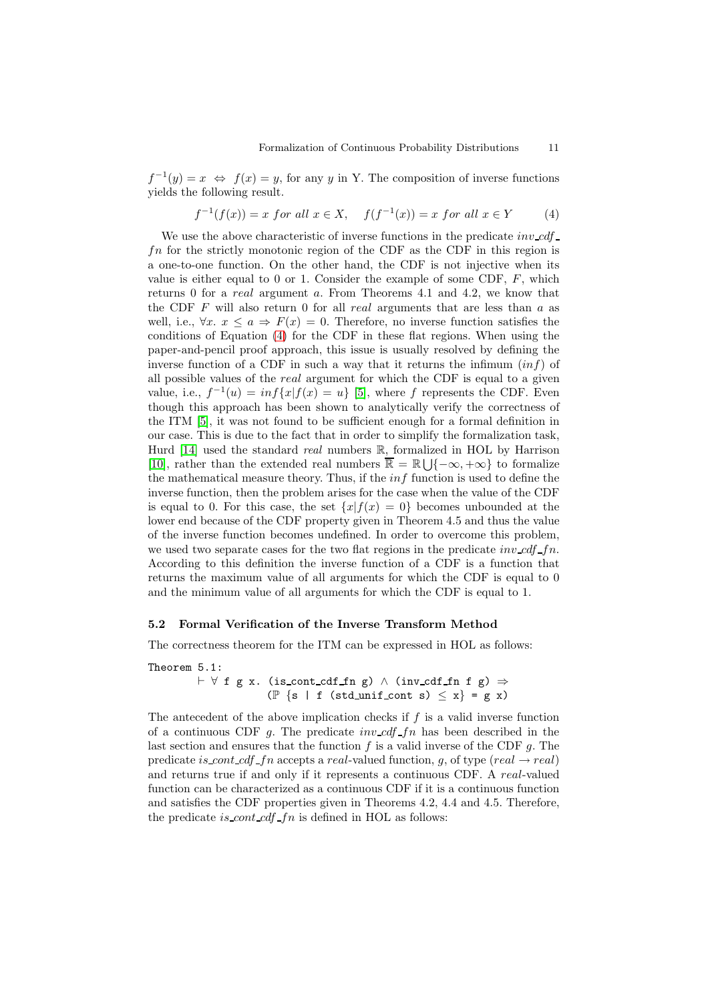$f^{-1}(y) = x \Leftrightarrow f(x) = y$ , for any y in Y. The composition of inverse functions yields the following result.

$$
f^{-1}(f(x)) = x \text{ for all } x \in X, \quad f(f^{-1}(x)) = x \text{ for all } x \in Y \tag{4}
$$

<span id="page-8-0"></span>We use the above characteristic of inverse functions in the predicate  $inv\_cdf$ . fn for the strictly monotonic region of the CDF as the CDF in this region is a one-to-one function. On the other hand, the CDF is not injective when its value is either equal to 0 or 1. Consider the example of some CDF,  $F$ , which returns 0 for a *real* argument a. From Theorems 4.1 and 4.2, we know that the CDF  $F$  will also return 0 for all *real* arguments that are less than  $a$  as well, i.e.,  $\forall x. \ x \leq a \Rightarrow F(x) = 0$ . Therefore, no inverse function satisfies the conditions of Equation (4) for the CDF in these flat regions. When using the paper-and-pencil proof approach, this issue is usually resolved by defining the inverse function of a CDF in such a way that it returns the infimum  $(inf)$  of all possible values of the real argument for which the CDF is equal to a given value, i.e.,  $f^{-1}(u) = inf\{x|f(x) = u\}$  $f^{-1}(u) = inf\{x|f(x) = u\}$  $f^{-1}(u) = inf\{x|f(x) = u\}$  [5], where f represents the CDF. Even though this approach has been shown to analytically verify the correctness of the ITM [5], it was not found to be sufficient enough for a formal definition in our case. This is due to the fact that in order to simplify the formalization task, Hurd  $[14]$  used the standard real num[ber](#page-15-2)s  $\mathbb{R}$ , formalized in HOL by Harrison [10], rather than the extended real numbers  $\overline{\mathbb{R}} = \mathbb{R} \cup \{-\infty, +\infty\}$  to formalize the math[em](#page-15-2)atical measure theory. Thus, if the  $inf$  function is used to define the inverse function, then the problem arises for the case when the value of the CDF is equ[al t](#page-15-3)o 0. For this case, the set  $\{x|f(x)=0\}$  becomes unbounded at the [low](#page-15-4)er end because of the CDF property given in Theorem 4.5 and thus the value of the inverse function becomes undefined. In order to overcome this problem, we used two separate cases for the two flat regions in the predicate  $inv\_cdf\_fn$ . According to this definition the inverse function of a CDF is a function that returns the maximum value of all arguments for which the CDF is equal to 0 and the minimum value of all arguments for which the CDF is equal to 1.

#### **5.2 Formal Verification of the Inverse Transform Method**

The correctness theorem for the ITM can be expressed in HOL as follows:

Theorem 5.1:  $\vdash$  ∀ f g x. (is\_cont\_cdf\_fn g)  $\land$  (inv\_cdf\_fn f g)  $\Rightarrow$ ( $\mathbb{P} \{s \mid f \text{ (std-unifcont s)} \leq x\} = g x$ )

The antecedent of the above implication checks if  $f$  is a valid inverse function of a continuous CDF g. The predicate  $inv\_cdf\_fn$  has been described in the last section and ensures that the function  $f$  is a valid inverse of the CDF  $g$ . The predicate is cont cdf fn accepts a real-valued function, g, of type (real  $\rightarrow$  real) and returns true if and only if it represents a continuous CDF. A real-valued function can be characterized as a continuous CDF if it is a continuous function and satisfies the CDF properties given in Theorems 4.2, 4.4 and 4.5. Therefore, the predicate is cont cdf  $fn$  is defined in HOL as follows: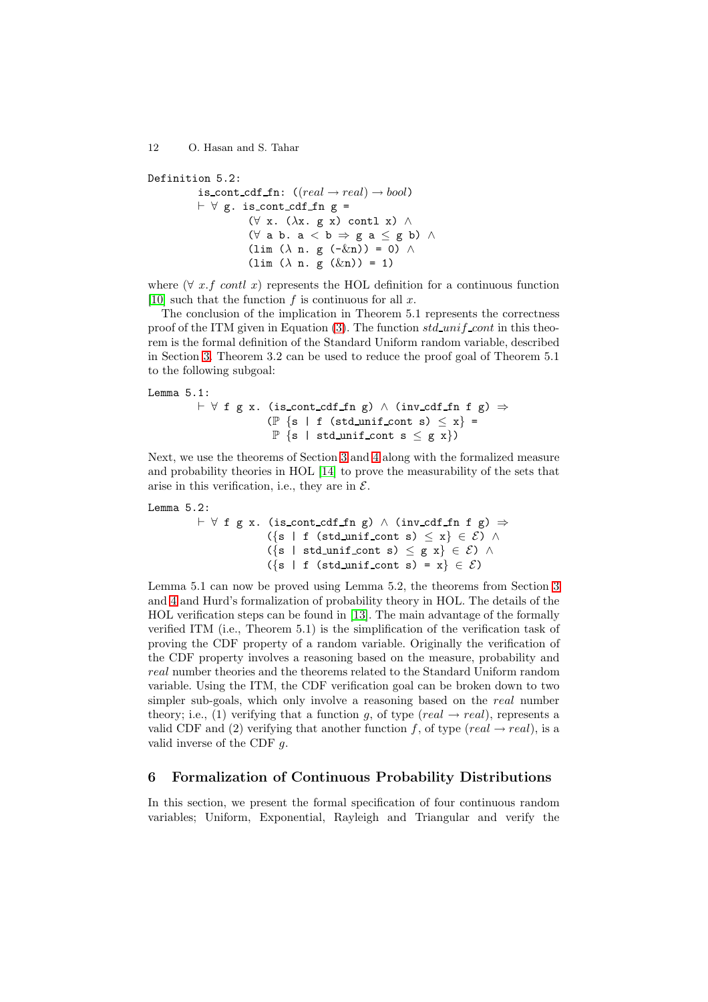```
Definition 5.2:
    is cont cdf fn: ((real \rightarrow real) \rightarrow bool)\vdash \forall g. is cont cdf fn g =
                (\forall x. (\lambdax. g x) contl x) \land(\forall a b. a < b \Rightarrow g a \leq g b) \land(lim (\lambda n. g(-\&n)) = 0) \wedge(lim (\lambda n. g (\& n)) = 1)
```
where  $(\forall x.f \; contl \; x)$  represents the HOL definition for a continuous function [10] such that the function f is continuous for all x.

The conclusion of the implication in Theorem 5.1 represents the correctness proof of the ITM given in Equation  $(3)$ . The function std\_unif\_cont in this theorem is the formal definition of the Standard Uniform random variable, described [in S](#page-15-4)ection 3. Theorem 3.2 can be used to reduce the proof goal of Theorem 5.1 to the following subgoal:

```
Lemma 5.1:
     \vdash \forall f g x. (is_cont_cdf_fn g) \land (inv_cdf_fn f g) \Rightarrow(\mathbb{P} \{s \mid f \text{ (std-unit cont s)} \leq x\} =
                       \mathbb{P} \{s \mid std\_unif\_cont s \leq g x\})
```
Next, we use the theorems of Section 3 and 4 along with the formalized measure and probability theories in HOL [14] to prove the measurability of the sets that arise in this verification, i.e., they are in  $\mathcal{E}$ .

```
Lemma 5.2:
```

```
forall) \land (inv_cdf_fn f g) \Rightarrow(std\_unif\_cont s) \leq x} \in \mathcal{E}) \wedge({s \mid std\_unif\_cont s) \le g x} \in \mathcal{E}) ∧
       ({s \mid f (std\_unifcont s) = x} \in \mathcal{E})
```
Lemma 5.1 can now be proved using Lemma 5.2, the theorems from Section 3 and 4 and Hurd's formalization of probability theory in HOL. The details of the HOL verification steps can be found in [13]. The main advantage of the formally verified ITM (i.e., Theorem 5.1) is the simplification of the verification task of proving the CDF property of a random variable. Originally the verification [of](#page-3-2) the [C](#page-5-0)DF property involves a reasoning based on the measure, probability and real number theories and the theorems [rela](#page-15-7)ted to the Standard Uniform random variable. Using the ITM, the CDF verification goal can be broken down to two simpler sub-goals, which only involve a reasoning based on the real number theory; i.e., (1) verifying that a function g, of type (real  $\rightarrow$  real), represents a valid CDF and (2) verifying that another function f, of type  $-real \rightarrow real$ ), is a valid inverse of the CDF  $q$ .

# **6 Formalization of Continuous Probability Distributions**

<span id="page-9-0"></span>In this section, we present the formal specification of four continuous random variables; Uniform, Exponential, Rayleigh and Triangular and verify the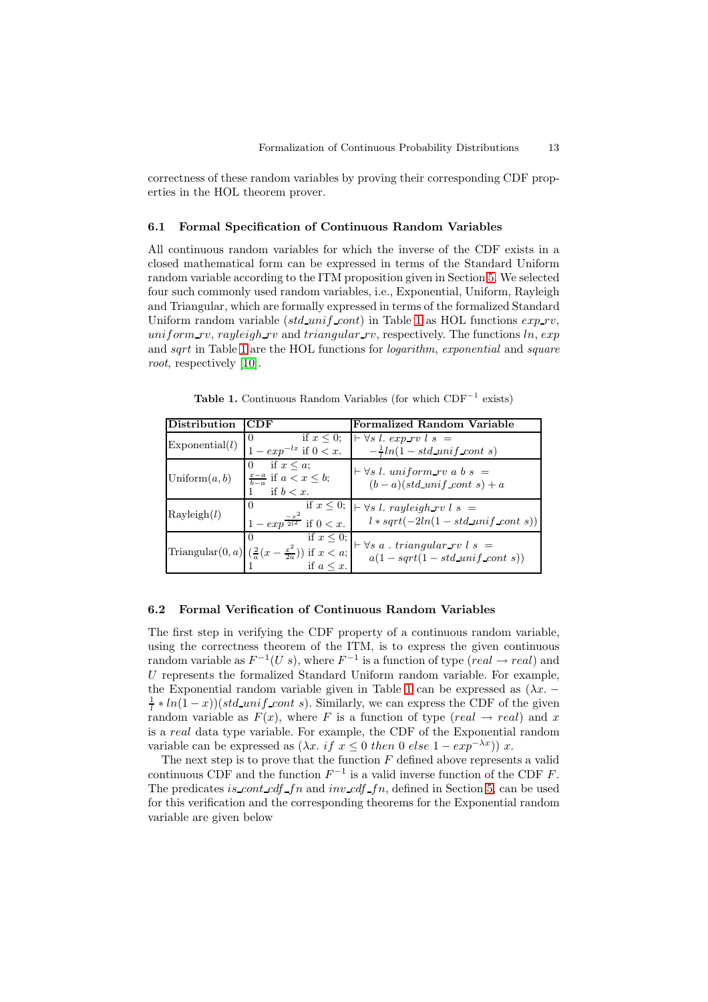correctness of these random variables by proving their corresponding CDF properties in the HOL theorem prover.

### **6.1 Formal Specification of Continuous Random Variables**

All continuous random variables for which the inverse of the CDF exists in a closed mathematical form can be expressed in terms of the Standard Uniform random variable according to the ITM proposition given in Section 5. We selected four such commonly used random variables, i.e., Exponential, Uniform, Rayleigh and Triangular, which are formally expressed in terms of the formalized Standard Uniform random variable (std\_unif\_cont) in Table 1 as HOL functions  $exp\_rv$ , uniform rv, rayleigh rv and triangular rv, respectively. The fu[nc](#page-7-0)tions  $ln, exp$ and sqrt in Table 1 are the HOL functions for *logarithm, exponential* and *square* root, respectively [10].

<span id="page-10-0"></span>

| <b>Distribution</b> | CDF                                                                                                                              | <b>Formalized Random Variable</b>                                                                                           |
|---------------------|----------------------------------------------------------------------------------------------------------------------------------|-----------------------------------------------------------------------------------------------------------------------------|
| Exponential(l)      | if $x \leq 0$ ;<br>0<br>$1 - exp^{-lx}$ if $0 < x$ .                                                                             | $\vdash \forall s \ l. \ exp \_r v \ l \ s =$<br>$-\frac{1}{l}ln(1 - std\_unif\_cont s)$                                    |
| Uniform $(a, b)$    | if $x \leq a$ ;<br>$\theta$<br>$\frac{x-a}{b-a}$ if $a < x \leq b$ ;<br>if $b < x$ .                                             | $\vdash \forall s \ l. \ uniform\_rv \ a \ b \ s =$<br>$(b-a)(std\_unif\_cont s) + a$                                       |
| Rayleigh(l)         | $\theta$<br>$1 - exp^{\frac{-x^2}{2l^2}}$ if $0 < x$ .                                                                           | $\overline{\text{if}}\ x \leq 0;\   \vdash \forall s\ l.\ rayleigh\_rv\ l\ s\ =$<br>$l * sqrt(-2ln(1 - std\_unif\_cont s))$ |
|                     | if $x \leq 0;$<br>Triangular(0, a) $\left  \left( \frac{2}{a} (x - \frac{x^2}{2a}) \right) \right $ if $x < a$ ; if $a \leq x$ . | $\vdash \forall s \; a \; . \; triangular \; rv \; l \; s \; =$<br>$a(1-sqrt(1-std\_unif\_cont s))$                         |

**Table 1.** [C](#page-10-0)ontinuous Random Variables (for which CDF<sup>−</sup><sup>1</sup> exists)

### **6.2 Formal Verification of Continuous Random Variables**

The first step in verifying the CDF property of a continuous random variable, using the correctness theorem of the ITM, is to express the given continuous random variable as  $F^{-1}(U s)$ , where  $F^{-1}$  is a function of type (real  $\rightarrow$  real) and U represents the formalized Standard Uniform random variable. For example, the Exponential random variable given in Table 1 can be expressed as  $(\lambda x. \frac{1}{l} * ln(1-x)$  (std\_unif\_cont s). Similarly, we can express the CDF of the given random variable as  $F(x)$ , where F is a function of type (real  $\rightarrow$  real) and x is a real data type variable. For example, the CDF of the Exponential random variabl[e](#page-10-0) can be expressed as  $(\lambda x.$  if  $x \leq 0$  then 0 else  $1 - exp^{-\lambda x})$  x.

The next step is to prove that the function  $F$  defined above represents a valid continuous CDF and the function  $F^{-1}$  is a valid inverse function of the CDF F. The predicates is cont cdf fn and inv cdf fn, defined in Section 5, can be used for this verification and the corresponding theorems for the Exponential random variable are given below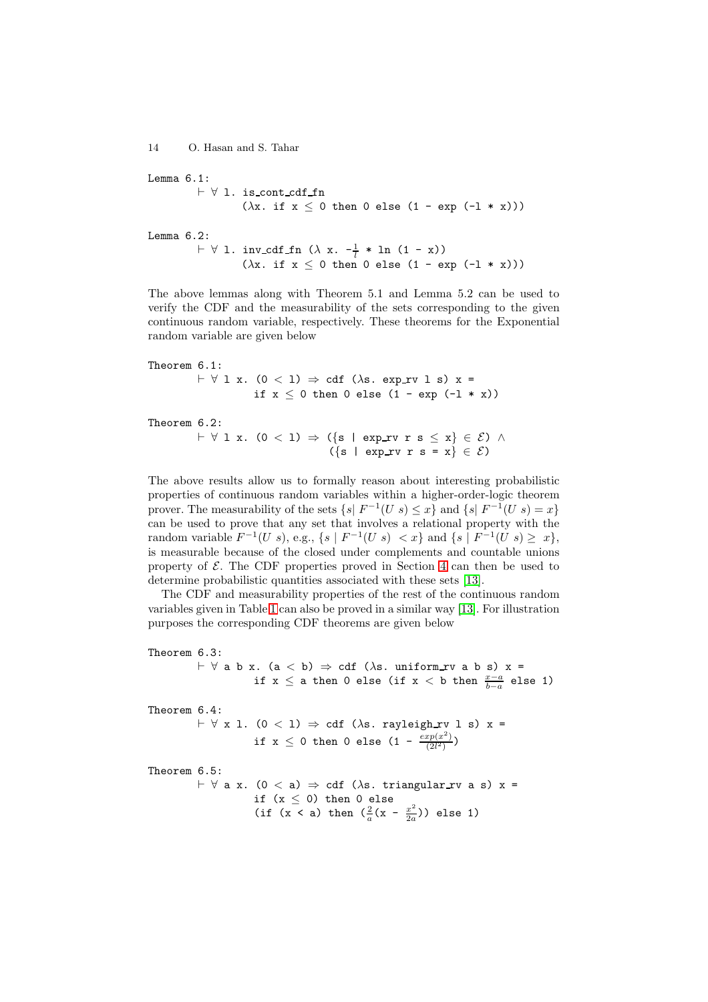Lemma 6.1: ∀ l. is cont cdf fn ( $\lambda$ x. if  $x \le 0$  then 0 else (1 - exp (-1 \* x))) Lemma 6.2:  $\vdash \forall$  1. inv\_cdf\_fn ( $\lambda$  x.  $-\frac{1}{l}$  \* ln (1 - x)) ( $\lambda$ x. if  $x \le 0$  then 0 else (1 - exp (-1 \* x)))

The above lemmas along with Theorem 5.1 and Lemma 5.2 can be used to verify the CDF and the measurability of the sets corresponding to the given continuous random variable, respectively. These theorems for the Exponential random variable are given below

Theorem 6.1:  $\vdash \forall$  l x. (0 < 1)  $\Rightarrow$  cdf ( $\lambda$ s. exp\_rv l s) x = if  $x \le 0$  then 0 else  $(1 - exp(-1 * x))$ 

Theorem 6.2:

 $\vdash$  ∀ 1 x. (0 < 1)  $\Rightarrow$  ({s | exp\_rv r s  $\leq$  x}  $\in$   $\mathcal{E}$ ) ∧ ({s | exp\_rv r s = x}  $\in \mathcal{E}$ )

The above results allow us to formally reason about interesting probabilistic properties of continuous random variables within a higher-order-logic theorem prover. The measurability of the sets  $\{s | F^{-1}(U s) \leq x\}$  and  $\{s | F^{-1}(U s) = x\}$ can be used to prove that any set that involves a relational property with the random variable  $F^{-1}(U \, s)$ , e.g.,  $\{s \mid F^{-1}(U \, s) \, \langle x \rangle \}$  and  $\{s \mid F^{-1}(U \, s) \geq x\}$ , is measurable because of the closed under complements and countable unions property of  $\mathcal E$ . The CDF properties proved in Section 4 can then be used to determine probabilistic quantities associated with these sets [13].

The CDF and measurability properties of the rest of the continuous random variables given in Table 1 can also be proved in a similar way [13]. For illustration purposes the corresponding CDF theorems are given be[low](#page-5-0)

Theorem 6.3:  $\vdash \forall$  a b x. [\(a](#page-10-0) < b)  $\Rightarrow$  cdf ( $\lambda$ s. uniform\_rv [a](#page-15-7) b s) x = if  $x \le a$  then 0 else (if  $x < b$  then  $\frac{x-a}{b-a}$  else 1) Theorem 6.4:  $\vdash \forall$  x 1. (0 < 1)  $\Rightarrow$  cdf ( $\lambda$ s. rayleigh rv 1 s) x = if  $x \leq 0$  then 0 else  $(1 - \frac{exp(x^2)}{(2l^2)})$ Theorem 6.5:  $\vdash \forall$  a x. (0 < a)  $\Rightarrow$  cdf ( $\lambda$ s. triangular rv a s) x = if  $(x \leq 0)$  then 0 else (if  $(x < a)$  then  $(\frac{2}{a}(x - \frac{x^2}{2a}))$  else 1)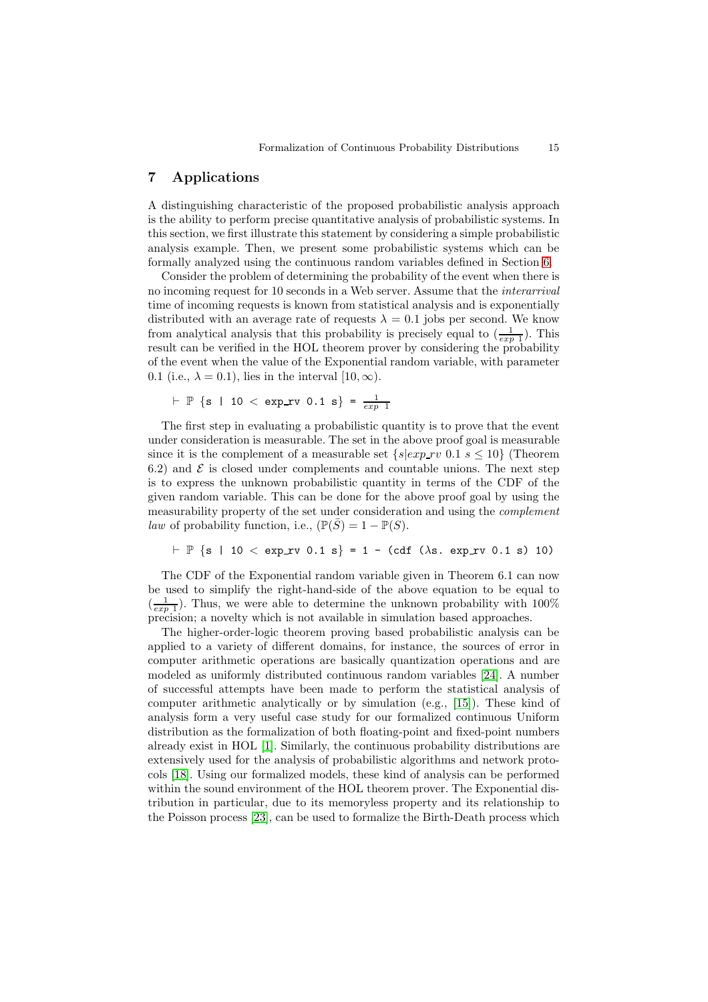# **7 Applications**

<span id="page-12-0"></span>A distinguishing characteristic of the proposed probabilistic analysis approach is the ability to perform precise quantitative analysis of probabilistic systems. In this section, we first illustrate this statement by considering a simple probabilistic analysis example. Then, we present some probabilistic systems which can be formally analyzed using the continuous random variables defined in Section 6.

Consider the problem of determining the probability of the event when there is no incoming request for 10 seconds in a Web server. Assume that the *interarrival* time of incoming requests is known from statistical analysis and is exponentially distributed with an average rate of requests  $\lambda = 0.1$  jobs per second. We k[no](#page-9-0)w from analytical analysis that this probability is precisely equal to  $(\frac{1}{exp 1})$ . This result can be verified in the HOL theorem prover by considering the probability of the event when the value of the Exponential random variable, with parameter 0.1 (i.e.,  $\lambda = 0.1$ ), lies in the interval  $[10, \infty)$ .

 $\vdash$   $\mathbb{P}$  {s | 10 < exp\_rv 0.1 s} =  $\frac{1}{exp 1}$ 

The first step in evaluating a probabilistic quantity is to prove that the event under consideration is measurable. The set in the above proof goal is measurable since it is the complement of a measurable set  $\{s|exp_rrv\;0.1\;s\leq 10\}$  (Theorem 6.2) and  $\mathcal E$  is closed under complements and countable unions. The next step is to express the unknown probabilistic quantity in terms of the CDF of the given random variable. This can be done for the above proof goal by using the measurability property of the set under consideration and using the complement law of probability function, i.e.,  $(\mathbb{P}(\bar{S})=1 - \mathbb{P}(S)).$ 

$$
\vdash \mathbb{P} \{ s \mid 10 < \exp_r v \ 0.1 \ s \} = 1 - (cdf (\lambda s. \ exp_r v \ 0.1 \ s) \ 10)
$$

The CDF of the Exponential random variable given in Theorem 6.1 can now be used to simplify the right-hand-side of the above equation to be equal to  $(\frac{1}{exp 1})$ . Thus, we were able to determine the unknown probability with 100% precision; a novelty which is not available in simulation based approaches.

The higher-order-logic theorem proving based probabilistic analysis can be applied to a variety of different domains, for instance, the sources of error in computer arithmetic operations are basically quantization operations and are modeled as uniformly distributed continuous random variables [24]. A number of successful attempts have been made to perform the statistical analysis of computer arithmetic analytically or by simulation (e.g., [15]). These kind of analysis form a very useful case study for our formalized continuous Uniform distribution as the formalization of both floating-point and fixed[-po](#page-15-8)int numbers already exist in HOL [1]. Similarly, the continuous probability distributions are extensively used for the analysis of probabilistic algorithms [an](#page-15-9)d network protocols [18]. Using our formalized models, these kind of analysis can be performed within the sound environment of the HOL theorem prover. The Exponential distribution in particula[r,](#page-14-1) due to its memoryless property and its relationship to the Poisson process [23], can be used to formalize the Birth-Death process which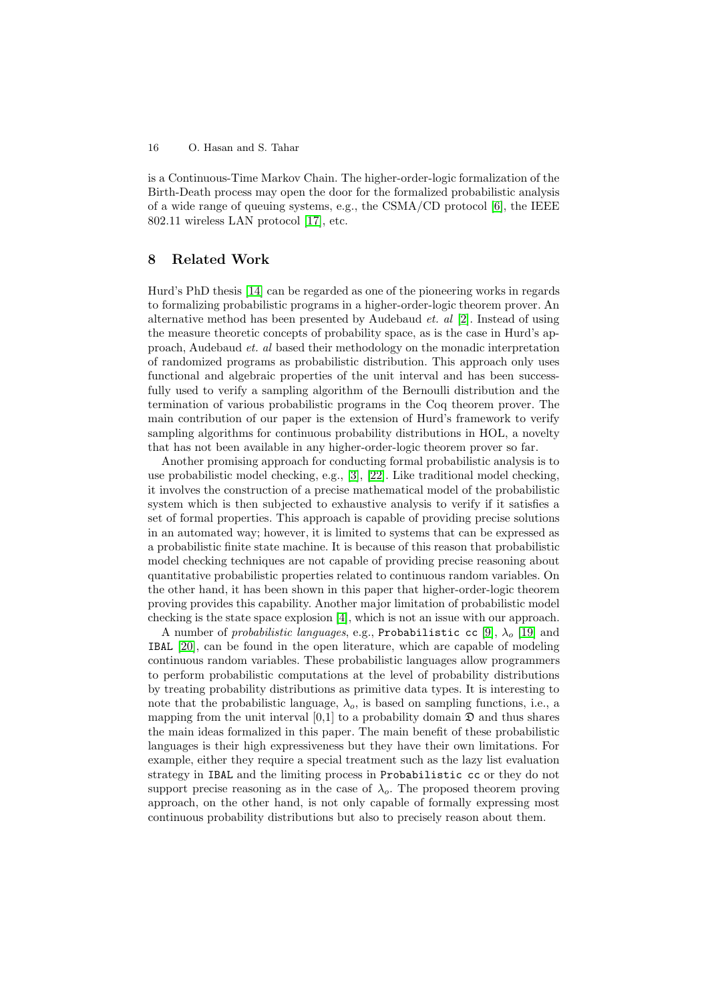is a Continuous-Time Markov Chain. The higher-order-logic formalization of the Birth-Death process may open the door for the formalized probabilistic analysis of a wide range of queuing systems, e.g., the CSMA/CD protocol  $[6]$ , the IEEE 802.11 wireless LAN protocol [17], etc.

# **8 Related Work**

<span id="page-13-0"></span>Hurd's PhD thesis [14] can be [rega](#page-15-10)rded as one of the pioneering works in regards to formalizing probabilistic programs in a higher-order-logic theorem prover. An alternative method has been presented by Audebaud *et. al* [2]. Instead of using the measure theoretic concepts of probability space, as is the case in Hurd's approach, Audebaud [et.](#page-15-3) al based their methodology on the monadic interpretation of randomized programs as probabilistic distribution. This approach only uses functional and algebraic properties of the unit interval an[d](#page-14-2) has been successfully used to verify a sampling algorithm of the Bernoulli distribution and the termination of various probabilistic programs in the Coq theorem prover. The main contribution of our paper is the extension of Hurd's framework to verify sampling algorithms for continuous probability distributions in HOL, a novelty that has not been available in any higher-order-logic theorem prover so far.

Another promising approach for conducting formal probabilistic analysis is to use probabilistic model checking, e.g., [3], [22]. Like traditional model checking, it involves the construction of a precise mathematical model of the probabilistic system which is then subjected to exhaustive analysis to verify if it satisfies a set of formal properties. This approach is capable of providing precise solutions in an automated way; however, it is li[mit](#page-14-3)e[d to](#page-15-11) systems that can be expressed as a probabilistic finite state machine. It is because of this reason that probabilistic model checking techniques are not capable of providing precise reasoning about quantitative probabilistic properties related to continuous random variables. On the other hand, it has been shown in this paper that higher-order-logic theorem proving provides this capability. Another major limitation of probabilistic model checking is the state space explosion [4], which is not an issue with our approach.

A number of probabilistic languages, e.g., Probabilistic cc [9],  $\lambda_o$  [19] and IBAL [20], can be found in the open literature, which are capable of modeling continuous random variables. These probabilistic languages allow programmers to perform probabilistic computatio[ns](#page-15-12) at the level of probability distributions by treating probability distributions as primitive data types. It i[s i](#page-15-13)ntere[stin](#page-15-14)g to note t[hat](#page-15-15) the probabilistic language,  $\lambda_o$ , is based on sampling functions, i.e., a mapping from the unit interval [0,1] to a probability domain  $\mathfrak D$  and thus shares the main ideas formalized in this paper. The main benefit of these probabilistic languages is their high expressiveness but they have their own limitations. For example, either they require a special treatment such as the lazy list evaluation strategy in IBAL and the limiting process in Probabilistic cc or they do not support precise reasoning as in the case of  $\lambda_o$ . The proposed theorem proving approach, on the other hand, is not only capable of formally expressing most continuous probability distributions but also to precisely reason about them.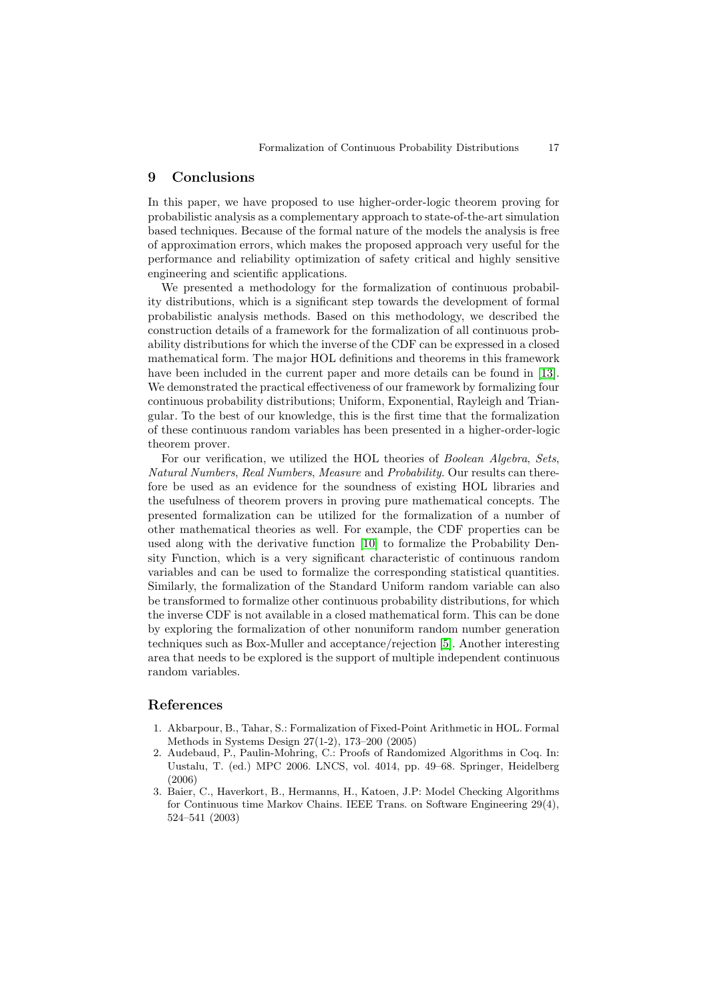# **9 Conclusions**

<span id="page-14-0"></span>In this paper, we have proposed to use higher-order-logic theorem proving for probabilistic analysis as a complementary approach to state-of-the-art simulation based techniques. Because of the formal nature of the models the analysis is free of approximation errors, which makes the proposed approach very useful for the performance and reliability optimization of safety critical and highly sensitive engineering and scientific applications.

We presented a methodology for the formalization of continuous probability distributions, which is a significant step towards the development of formal probabilistic analysis methods. Based on this methodology, we described the construction details of a framework for the formalization of all continuous probability distributions for which the inverse of the CDF can be expressed in a closed mathematical form. The major HOL definitions and theorems in this framework have been included in the current paper and more details can be found in [13]. We demonstrated the practical effectiveness of our framework by formalizing four continuous probability distributions; Uniform, Exponential, Rayleigh and Triangular. To the best of our knowledge, this is the first time that the formalization of these continuous random variables has been presented in a higher-order-l[ogi](#page-15-7)c theorem prover.

For our verification, we utilized the HOL theories of Boolean Algebra, Sets, Natural Numbers, Real Numbers, Measure and Probability. Our results can therefore be used as an evidence for the soundness of existing HOL libraries and the usefulness of theorem provers in proving pure mathematical concepts. The presented formalization can be utilized for the formalization of a number of other mathematical theories as well. For example, the CDF properties can be used along with the derivative function [10] to formalize the Probability Density Function, which is a very significant characteristic of continuous random variables and can be used to formalize the corresponding statistical quantities. Similarly, the formalization of the Standard Uniform random variable can also be transformed to formalize other continu[ous](#page-15-4) probability distributions, for which the inverse CDF is not available in a closed mathematical form. This can be done by exploring the formalization of other nonuniform random number generation techniques such as Box-Muller and acceptance/rejection [5]. Another interesting area that needs to be explored is the support of multiple independent continuous random variables.

# **References**

- 1. Akbarpour, B., Tahar, S.: Formalization of Fixed-Point Arithmetic in HOL. Formal Methods in Systems Design 27(1-2), 173–200 (2005)
- 2. Audebaud, P., Paulin-Mohring, C.: Proofs of Randomized Algorithms in Coq. In: Uustalu, T. (ed.) MPC 2006. LNCS, vol. 4014, pp. 49–68. Springer, Heidelberg (2006)
- <span id="page-14-3"></span><span id="page-14-2"></span><span id="page-14-1"></span>3. Baier, C., Haverkort, B., Hermanns, H., Katoen, J.P: Model Checking Algorithms for Continuous time Markov Chains. IEEE Trans. on Software Engineering 29(4), 524–541 (2003)